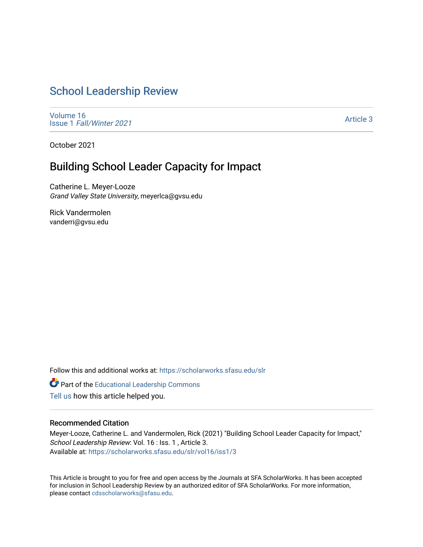# [School Leadership Review](https://scholarworks.sfasu.edu/slr)

[Volume 16](https://scholarworks.sfasu.edu/slr/vol16) Issue 1 [Fall/Winter 2021](https://scholarworks.sfasu.edu/slr/vol16/iss1) 

[Article 3](https://scholarworks.sfasu.edu/slr/vol16/iss1/3) 

October 2021

# Building School Leader Capacity for Impact

Catherine L. Meyer-Looze Grand Valley State University, meyerlca@gvsu.edu

Rick Vandermolen vanderri@gvsu.edu

Follow this and additional works at: [https://scholarworks.sfasu.edu/slr](https://scholarworks.sfasu.edu/slr?utm_source=scholarworks.sfasu.edu%2Fslr%2Fvol16%2Fiss1%2F3&utm_medium=PDF&utm_campaign=PDFCoverPages) 

Part of the [Educational Leadership Commons](http://network.bepress.com/hgg/discipline/1230?utm_source=scholarworks.sfasu.edu%2Fslr%2Fvol16%2Fiss1%2F3&utm_medium=PDF&utm_campaign=PDFCoverPages) 

[Tell us](http://sfasu.qualtrics.com/SE/?SID=SV_0qS6tdXftDLradv) how this article helped you.

### Recommended Citation

Meyer-Looze, Catherine L. and Vandermolen, Rick (2021) "Building School Leader Capacity for Impact," School Leadership Review: Vol. 16 : Iss. 1, Article 3. Available at: [https://scholarworks.sfasu.edu/slr/vol16/iss1/3](https://scholarworks.sfasu.edu/slr/vol16/iss1/3?utm_source=scholarworks.sfasu.edu%2Fslr%2Fvol16%2Fiss1%2F3&utm_medium=PDF&utm_campaign=PDFCoverPages)

This Article is brought to you for free and open access by the Journals at SFA ScholarWorks. It has been accepted for inclusion in School Leadership Review by an authorized editor of SFA ScholarWorks. For more information, please contact [cdsscholarworks@sfasu.edu.](mailto:cdsscholarworks@sfasu.edu)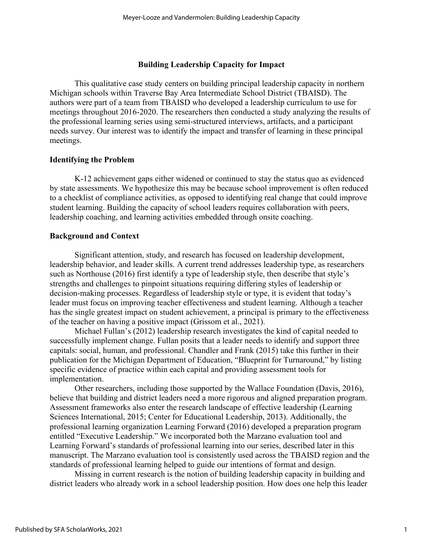### **Building Leadership Capacity for Impact**

This qualitative case study centers on building principal leadership capacity in northern Michigan schools within Traverse Bay Area Intermediate School District (TBAISD). The authors were part of a team from TBAISD who developed a leadership curriculum to use for meetings throughout 2016-2020. The researchers then conducted a study analyzing the results of the professional learning series using semi-structured interviews, artifacts, and a participant needs survey. Our interest was to identify the impact and transfer of learning in these principal meetings.

### **Identifying the Problem**

K-12 achievement gaps either widened or continued to stay the status quo as evidenced by state assessments. We hypothesize this may be because school improvement is often reduced to a checklist of compliance activities, as opposed to identifying real change that could improve student learning. Building the capacity of school leaders requires collaboration with peers, leadership coaching, and learning activities embedded through onsite coaching.

### **Background and Context**

Significant attention, study, and research has focused on leadership development, leadership behavior, and leader skills. A current trend addresses leadership type, as researchers such as Northouse (2016) first identify a type of leadership style, then describe that style's strengths and challenges to pinpoint situations requiring differing styles of leadership or decision-making processes. Regardless of leadership style or type, it is evident that today's leader must focus on improving teacher effectiveness and student learning. Although a teacher has the single greatest impact on student achievement, a principal is primary to the effectiveness of the teacher on having a positive impact (Grissom et al., 2021).

Michael Fullan's (2012) leadership research investigates the kind of capital needed to successfully implement change. Fullan posits that a leader needs to identify and support three capitals: social, human, and professional. Chandler and Frank (2015) take this further in their publication for the Michigan Department of Education, "Blueprint for Turnaround," by listing specific evidence of practice within each capital and providing assessment tools for implementation.

Other researchers, including those supported by the Wallace Foundation (Davis, 2016), believe that building and district leaders need a more rigorous and aligned preparation program. Assessment frameworks also enter the research landscape of effective leadership (Learning Sciences International, 2015; Center for Educational Leadership, 2013). Additionally, the professional learning organization Learning Forward (2016) developed a preparation program entitled "Executive Leadership." We incorporated both the Marzano evaluation tool and Learning Forward's standards of professional learning into our series, described later in this manuscript. The Marzano evaluation tool is consistently used across the TBAISD region and the standards of professional learning helped to guide our intentions of format and design.

Missing in current research is the notion of building leadership capacity in building and district leaders who already work in a school leadership position. How does one help this leader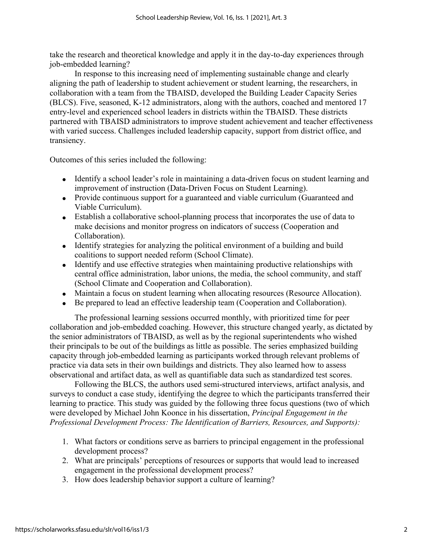take the research and theoretical knowledge and apply it in the day-to-day experiences through job-embedded learning?

In response to this increasing need of implementing sustainable change and clearly aligning the path of leadership to student achievement or student learning, the researchers, in collaboration with a team from the TBAISD, developed the Building Leader Capacity Series (BLCS). Five, seasoned, K-12 administrators, along with the authors, coached and mentored 17 entry-level and experienced school leaders in districts within the TBAISD. These districts partnered with TBAISD administrators to improve student achievement and teacher effectiveness with varied success. Challenges included leadership capacity, support from district office, and transiency.

Outcomes of this series included the following:

- Identify a school leader's role in maintaining a data-driven focus on student learning and improvement of instruction (Data-Driven Focus on Student Learning).
- Provide continuous support for a guaranteed and viable curriculum (Guaranteed and Viable Curriculum).
- Establish a collaborative school-planning process that incorporates the use of data to make decisions and monitor progress on indicators of success (Cooperation and Collaboration).
- Identify strategies for analyzing the political environment of a building and build coalitions to support needed reform (School Climate).
- Identify and use effective strategies when maintaining productive relationships with central office administration, labor unions, the media, the school community, and staff (School Climate and Cooperation and Collaboration).
- Maintain a focus on student learning when allocating resources (Resource Allocation).
- Be prepared to lead an effective leadership team (Cooperation and Collaboration).

The professional learning sessions occurred monthly, with prioritized time for peer collaboration and job-embedded coaching. However, this structure changed yearly, as dictated by the senior administrators of TBAISD, as well as by the regional superintendents who wished their principals to be out of the buildings as little as possible. The series emphasized building capacity through job-embedded learning as participants worked through relevant problems of practice via data sets in their own buildings and districts. They also learned how to assess observational and artifact data, as well as quantifiable data such as standardized test scores.

Following the BLCS, the authors used semi-structured interviews, artifact analysis, and surveys to conduct a case study, identifying the degree to which the participants transferred their learning to practice. This study was guided by the following three focus questions (two of which were developed by Michael John Koonce in his dissertation, *Principal Engagement in the Professional Development Process: The Identification of Barriers, Resources, and Supports):*

- 1. What factors or conditions serve as barriers to principal engagement in the professional development process?
- 2. What are principals' perceptions of resources or supports that would lead to increased engagement in the professional development process?
- 3. How does leadership behavior support a culture of learning?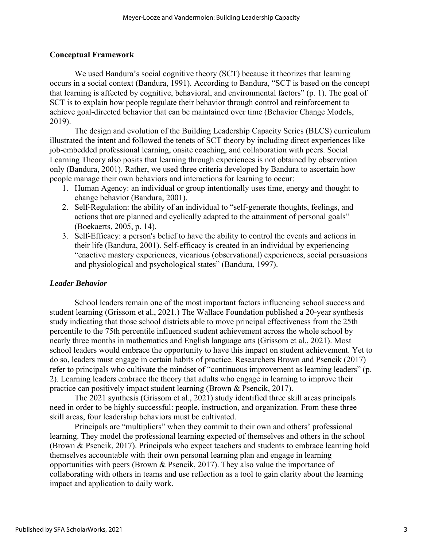# **Conceptual Framework**

We used Bandura's social cognitive theory (SCT) because it theorizes that learning occurs in a social context (Bandura, 1991). According to Bandura, "SCT is based on the concept that learning is affected by cognitive, behavioral, and environmental factors" (p. 1). The goal of SCT is to explain how people regulate their behavior through control and reinforcement to achieve goal-directed behavior that can be maintained over time (Behavior Change Models, 2019).

The design and evolution of the Building Leadership Capacity Series (BLCS) curriculum illustrated the intent and followed the tenets of SCT theory by including direct experiences like job-embedded professional learning, onsite coaching, and collaboration with peers. Social Learning Theory also posits that learning through experiences is not obtained by observation only (Bandura, 2001). Rather, we used three criteria developed by Bandura to ascertain how people manage their own behaviors and interactions for learning to occur:

- 1. Human Agency: an individual or group intentionally uses time, energy and thought to change behavior (Bandura, 2001).
- 2. Self-Regulation: the ability of an individual to "self-generate thoughts, feelings, and actions that are planned and cyclically adapted to the attainment of personal goals" (Boekaerts, 2005, p. 14).
- 3. Self-Efficacy: a person's belief to have the ability to control the events and actions in their life (Bandura, 2001). Self-efficacy is created in an individual by experiencing "enactive mastery experiences, vicarious (observational) experiences, social persuasions and physiological and psychological states" (Bandura, 1997).

# *Leader Behavior*

School leaders remain one of the most important factors influencing school success and student learning (Grissom et al., 2021.) The Wallace Foundation published a 20-year synthesis study indicating that those school districts able to move principal effectiveness from the 25th percentile to the 75th percentile influenced student achievement across the whole school by nearly three months in mathematics and English language arts (Grissom et al., 2021). Most school leaders would embrace the opportunity to have this impact on student achievement. Yet to do so, leaders must engage in certain habits of practice. Researchers Brown and Psencik (2017) refer to principals who cultivate the mindset of "continuous improvement as learning leaders" (p. 2). Learning leaders embrace the theory that adults who engage in learning to improve their practice can positively impact student learning (Brown & Psencik, 2017).

The 2021 synthesis (Grissom et al., 2021) study identified three skill areas principals need in order to be highly successful: people, instruction, and organization. From these three skill areas, four leadership behaviors must be cultivated.

Principals are "multipliers" when they commit to their own and others' professional learning. They model the professional learning expected of themselves and others in the school (Brown & Psencik, 2017). Principals who expect teachers and students to embrace learning hold themselves accountable with their own personal learning plan and engage in learning opportunities with peers (Brown  $\&$  Psencik, 2017). They also value the importance of collaborating with others in teams and use reflection as a tool to gain clarity about the learning impact and application to daily work.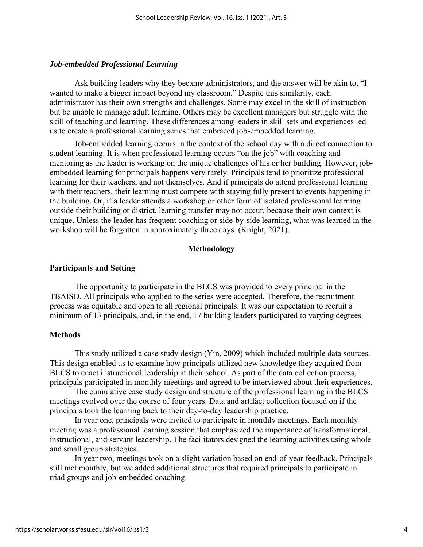### *Job-embedded Professional Learning*

Ask building leaders why they became administrators, and the answer will be akin to, "I wanted to make a bigger impact beyond my classroom." Despite this similarity, each administrator has their own strengths and challenges. Some may excel in the skill of instruction but be unable to manage adult learning. Others may be excellent managers but struggle with the skill of teaching and learning. These differences among leaders in skill sets and experiences led us to create a professional learning series that embraced job-embedded learning.

Job-embedded learning occurs in the context of the school day with a direct connection to student learning. It is when professional learning occurs "on the job" with coaching and mentoring as the leader is working on the unique challenges of his or her building. However, jobembedded learning for principals happens very rarely. Principals tend to prioritize professional learning for their teachers, and not themselves. And if principals do attend professional learning with their teachers, their learning must compete with staying fully present to events happening in the building. Or, if a leader attends a workshop or other form of isolated professional learning outside their building or district, learning transfer may not occur, because their own context is unique. Unless the leader has frequent coaching or side-by-side learning, what was learned in the workshop will be forgotten in approximately three days. (Knight, 2021).

### **Methodology**

### **Participants and Setting**

The opportunity to participate in the BLCS was provided to every principal in the TBAISD. All principals who applied to the series were accepted. Therefore, the recruitment process was equitable and open to all regional principals. It was our expectation to recruit a minimum of 13 principals, and, in the end, 17 building leaders participated to varying degrees.

### **Methods**

This study utilized a case study design (Yin, 2009) which included multiple data sources. This design enabled us to examine how principals utilized new knowledge they acquired from BLCS to enact instructional leadership at their school. As part of the data collection process, principals participated in monthly meetings and agreed to be interviewed about their experiences.

The cumulative case study design and structure of the professional learning in the BLCS meetings evolved over the course of four years. Data and artifact collection focused on if the principals took the learning back to their day-to-day leadership practice.

In year one, principals were invited to participate in monthly meetings. Each monthly meeting was a professional learning session that emphasized the importance of transformational, instructional, and servant leadership. The facilitators designed the learning activities using whole and small group strategies.

In year two, meetings took on a slight variation based on end-of-year feedback. Principals still met monthly, but we added additional structures that required principals to participate in triad groups and job-embedded coaching.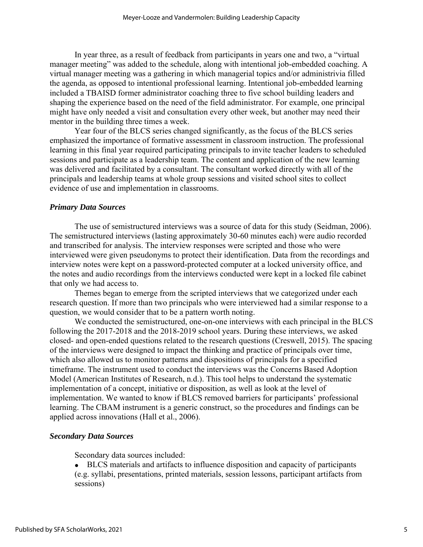In year three, as a result of feedback from participants in years one and two, a "virtual manager meeting" was added to the schedule, along with intentional job-embedded coaching. A virtual manager meeting was a gathering in which managerial topics and/or administrivia filled the agenda, as opposed to intentional professional learning. Intentional job-embedded learning included a TBAISD former administrator coaching three to five school building leaders and shaping the experience based on the need of the field administrator. For example, one principal might have only needed a visit and consultation every other week, but another may need their mentor in the building three times a week.

Year four of the BLCS series changed significantly, as the focus of the BLCS series emphasized the importance of formative assessment in classroom instruction. The professional learning in this final year required participating principals to invite teacher leaders to scheduled sessions and participate as a leadership team. The content and application of the new learning was delivered and facilitated by a consultant. The consultant worked directly with all of the principals and leadership teams at whole group sessions and visited school sites to collect evidence of use and implementation in classrooms.

### *Primary Data Sources*

The use of semistructured interviews was a source of data for this study (Seidman, 2006). The semistructured interviews (lasting approximately 30-60 minutes each) were audio recorded and transcribed for analysis. The interview responses were scripted and those who were interviewed were given pseudonyms to protect their identification. Data from the recordings and interview notes were kept on a password-protected computer at a locked university office, and the notes and audio recordings from the interviews conducted were kept in a locked file cabinet that only we had access to.

Themes began to emerge from the scripted interviews that we categorized under each research question. If more than two principals who were interviewed had a similar response to a question, we would consider that to be a pattern worth noting.

We conducted the semistructured, one-on-one interviews with each principal in the BLCS following the 2017-2018 and the 2018-2019 school years. During these interviews, we asked closed- and open-ended questions related to the research questions (Creswell, 2015). The spacing of the interviews were designed to impact the thinking and practice of principals over time, which also allowed us to monitor patterns and dispositions of principals for a specified timeframe. The instrument used to conduct the interviews was the Concerns Based Adoption Model (American Institutes of Research, n.d.). This tool helps to understand the systematic implementation of a concept, initiative or disposition, as well as look at the level of implementation. We wanted to know if BLCS removed barriers for participants' professional learning. The CBAM instrument is a generic construct, so the procedures and findings can be applied across innovations (Hall et al., 2006).

#### *Secondary Data Sources*

Secondary data sources included:

• BLCS materials and artifacts to influence disposition and capacity of participants (e.g. syllabi, presentations, printed materials, session lessons, participant artifacts from sessions)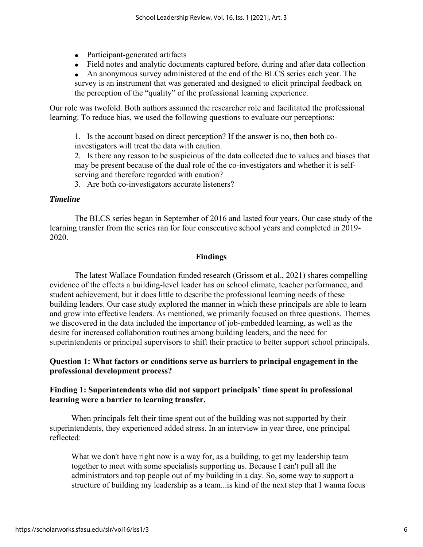- Participant-generated artifacts
- Field notes and analytic documents captured before, during and after data collection

• An anonymous survey administered at the end of the BLCS series each year. The survey is an instrument that was generated and designed to elicit principal feedback on the perception of the "quality" of the professional learning experience.

Our role was twofold. Both authors assumed the researcher role and facilitated the professional learning. To reduce bias, we used the following questions to evaluate our perceptions:

1. Is the account based on direct perception? If the answer is no, then both coinvestigators will treat the data with caution.

2. Is there any reason to be suspicious of the data collected due to values and biases that may be present because of the dual role of the co-investigators and whether it is selfserving and therefore regarded with caution?

3. Are both co-investigators accurate listeners?

### *Timeline*

The BLCS series began in September of 2016 and lasted four years. Our case study of the learning transfer from the series ran for four consecutive school years and completed in 2019- 2020.

# **Findings**

The latest Wallace Foundation funded research (Grissom et al., 2021) shares compelling evidence of the effects a building-level leader has on school climate, teacher performance, and student achievement, but it does little to describe the professional learning needs of these building leaders. Our case study explored the manner in which these principals are able to learn and grow into effective leaders. As mentioned, we primarily focused on three questions. Themes we discovered in the data included the importance of job-embedded learning, as well as the desire for increased collaboration routines among building leaders, and the need for superintendents or principal supervisors to shift their practice to better support school principals.

# **Question 1: What factors or conditions serve as barriers to principal engagement in the professional development process?**

# **Finding 1: Superintendents who did not support principals' time spent in professional learning were a barrier to learning transfer.**

When principals felt their time spent out of the building was not supported by their superintendents, they experienced added stress. In an interview in year three, one principal reflected:

What we don't have right now is a way for, as a building, to get my leadership team together to meet with some specialists supporting us. Because I can't pull all the administrators and top people out of my building in a day. So, some way to support a structure of building my leadership as a team...is kind of the next step that I wanna focus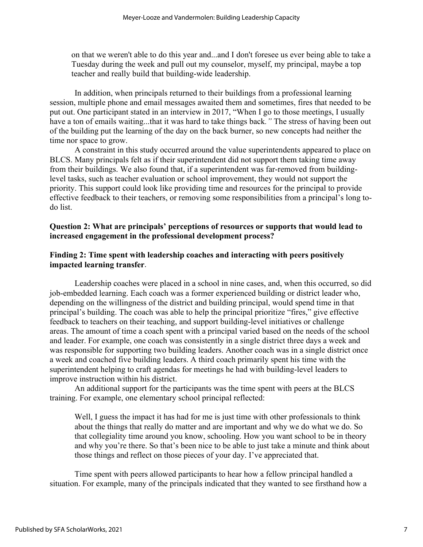on that we weren't able to do this year and...and I don't foresee us ever being able to take a Tuesday during the week and pull out my counselor, myself, my principal, maybe a top teacher and really build that building-wide leadership.

In addition, when principals returned to their buildings from a professional learning session, multiple phone and email messages awaited them and sometimes, fires that needed to be put out. One participant stated in an interview in 2017, "When I go to those meetings, I usually have a ton of emails waiting...that it was hard to take things back*."* The stress of having been out of the building put the learning of the day on the back burner, so new concepts had neither the time nor space to grow.

A constraint in this study occurred around the value superintendents appeared to place on BLCS. Many principals felt as if their superintendent did not support them taking time away from their buildings. We also found that, if a superintendent was far-removed from buildinglevel tasks, such as teacher evaluation or school improvement, they would not support the priority. This support could look like providing time and resources for the principal to provide effective feedback to their teachers, or removing some responsibilities from a principal's long todo list.

# **Question 2: What are principals' perceptions of resources or supports that would lead to increased engagement in the professional development process?**

# **Finding 2: Time spent with leadership coaches and interacting with peers positively impacted learning transfer**.

Leadership coaches were placed in a school in nine cases, and, when this occurred, so did job-embedded learning. Each coach was a former experienced building or district leader who, depending on the willingness of the district and building principal, would spend time in that principal's building. The coach was able to help the principal prioritize "fires," give effective feedback to teachers on their teaching, and support building-level initiatives or challenge areas. The amount of time a coach spent with a principal varied based on the needs of the school and leader. For example, one coach was consistently in a single district three days a week and was responsible for supporting two building leaders. Another coach was in a single district once a week and coached five building leaders. A third coach primarily spent his time with the superintendent helping to craft agendas for meetings he had with building-level leaders to improve instruction within his district.

An additional support for the participants was the time spent with peers at the BLCS training. For example, one elementary school principal reflected:

Well, I guess the impact it has had for me is just time with other professionals to think about the things that really do matter and are important and why we do what we do. So that collegiality time around you know, schooling. How you want school to be in theory and why you're there. So that's been nice to be able to just take a minute and think about those things and reflect on those pieces of your day. I've appreciated that.

Time spent with peers allowed participants to hear how a fellow principal handled a situation. For example, many of the principals indicated that they wanted to see firsthand how a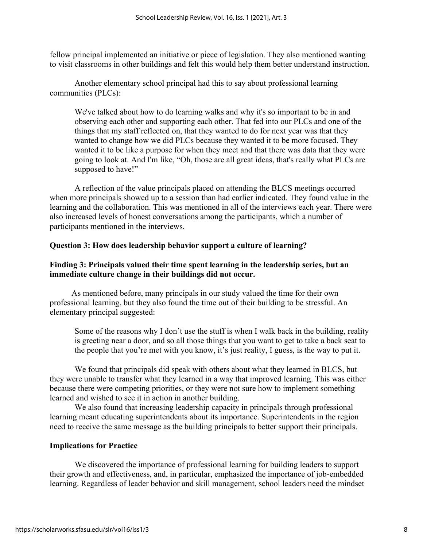fellow principal implemented an initiative or piece of legislation. They also mentioned wanting to visit classrooms in other buildings and felt this would help them better understand instruction.

Another elementary school principal had this to say about professional learning communities (PLCs):

We've talked about how to do learning walks and why it's so important to be in and observing each other and supporting each other. That fed into our PLCs and one of the things that my staff reflected on, that they wanted to do for next year was that they wanted to change how we did PLCs because they wanted it to be more focused. They wanted it to be like a purpose for when they meet and that there was data that they were going to look at. And I'm like, "Oh, those are all great ideas, that's really what PLCs are supposed to have!"

A reflection of the value principals placed on attending the BLCS meetings occurred when more principals showed up to a session than had earlier indicated. They found value in the learning and the collaboration. This was mentioned in all of the interviews each year. There were also increased levels of honest conversations among the participants, which a number of participants mentioned in the interviews.

# **Question 3: How does leadership behavior support a culture of learning?**

# **Finding 3: Principals valued their time spent learning in the leadership series, but an immediate culture change in their buildings did not occur.**

As mentioned before, many principals in our study valued the time for their own professional learning, but they also found the time out of their building to be stressful. An elementary principal suggested:

Some of the reasons why I don't use the stuff is when I walk back in the building, reality is greeting near a door, and so all those things that you want to get to take a back seat to the people that you're met with you know, it's just reality, I guess, is the way to put it.

We found that principals did speak with others about what they learned in BLCS, but they were unable to transfer what they learned in a way that improved learning. This was either because there were competing priorities, or they were not sure how to implement something learned and wished to see it in action in another building.

We also found that increasing leadership capacity in principals through professional learning meant educating superintendents about its importance. Superintendents in the region need to receive the same message as the building principals to better support their principals.

# **Implications for Practice**

We discovered the importance of professional learning for building leaders to support their growth and effectiveness, and, in particular, emphasized the importance of job-embedded learning. Regardless of leader behavior and skill management, school leaders need the mindset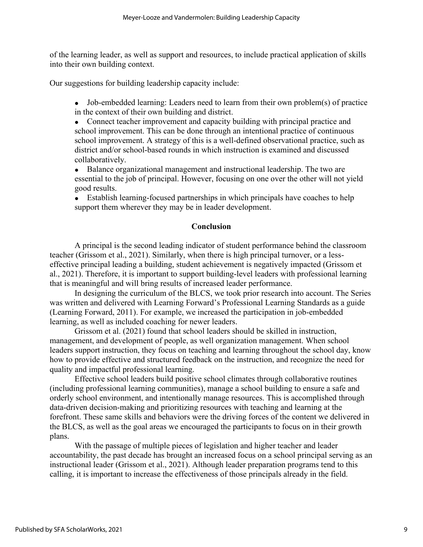of the learning leader, as well as support and resources, to include practical application of skills into their own building context.

Our suggestions for building leadership capacity include:

- Job-embedded learning: Leaders need to learn from their own problem(s) of practice in the context of their own building and district.
- Connect teacher improvement and capacity building with principal practice and school improvement. This can be done through an intentional practice of continuous school improvement. A strategy of this is a well-defined observational practice, such as district and/or school-based rounds in which instruction is examined and discussed collaboratively.
- Balance organizational management and instructional leadership. The two are essential to the job of principal. However, focusing on one over the other will not yield good results.
- Establish learning-focused partnerships in which principals have coaches to help support them wherever they may be in leader development.

# **Conclusion**

A principal is the second leading indicator of student performance behind the classroom teacher (Grissom et al., 2021). Similarly, when there is high principal turnover, or a lesseffective principal leading a building, student achievement is negatively impacted (Grissom et al., 2021). Therefore, it is important to support building-level leaders with professional learning that is meaningful and will bring results of increased leader performance.

In designing the curriculum of the BLCS, we took prior research into account. The Series was written and delivered with Learning Forward's Professional Learning Standards as a guide (Learning Forward, 2011). For example, we increased the participation in job-embedded learning, as well as included coaching for newer leaders.

Grissom et al. (2021) found that school leaders should be skilled in instruction, management, and development of people, as well organization management. When school leaders support instruction, they focus on teaching and learning throughout the school day, know how to provide effective and structured feedback on the instruction, and recognize the need for quality and impactful professional learning.

Effective school leaders build positive school climates through collaborative routines (including professional learning communities), manage a school building to ensure a safe and orderly school environment, and intentionally manage resources. This is accomplished through data-driven decision-making and prioritizing resources with teaching and learning at the forefront. These same skills and behaviors were the driving forces of the content we delivered in the BLCS, as well as the goal areas we encouraged the participants to focus on in their growth plans.

With the passage of multiple pieces of legislation and higher teacher and leader accountability, the past decade has brought an increased focus on a school principal serving as an instructional leader (Grissom et al., 2021). Although leader preparation programs tend to this calling, it is important to increase the effectiveness of those principals already in the field.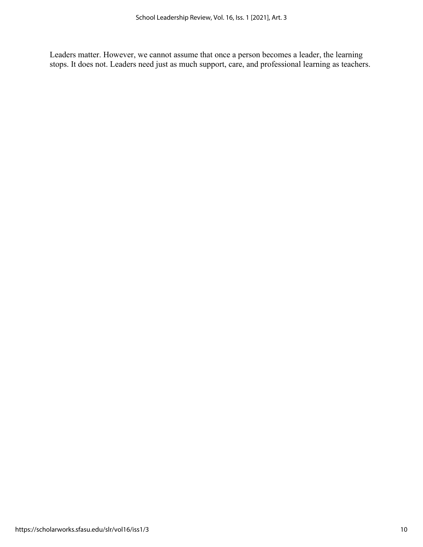Leaders matter. However, we cannot assume that once a person becomes a leader, the learning stops. It does not. Leaders need just as much support, care, and professional learning as teachers.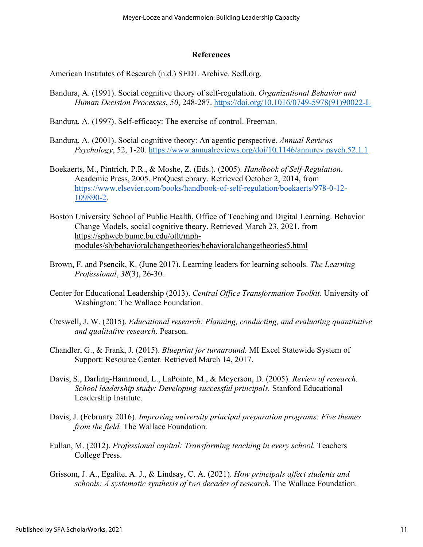### **References**

American Institutes of Research (n.d.) SEDL Archive. Sedl.org.

- Bandura, A. (1991). Social cognitive theory of self-regulation. *Organizational Behavior and Human Decision Processes*, *50*, 248-287. [https://doi.org/10.1016/0749-5978\(91\)90022-L](https://doi.org/10.1016/0749-5978(91)90022-L)
- Bandura, A. (1997). Self-efficacy: The exercise of control. Freeman.
- Bandura, A. (2001). Social cognitive theory: An agentic perspective. *Annual Reviews Psychology*, 52, 1-20.<https://www.annualreviews.org/doi/10.1146/annurev.psych.52.1.1>
- Boekaerts, M., Pintrich, P.R., & Moshe, Z. (Eds.). (2005). *Handbook of Self-Regulation*. Academic Press, 2005. ProQuest ebrary. Retrieved October 2, 2014, from [https://www.elsevier.com/books/handbook-of-self-regulation/boekaerts/978-0-12-](https://www.elsevier.com/books/handbook-of-self-regulation/boekaerts/978-0-12-109890-2) [109890-2.](https://www.elsevier.com/books/handbook-of-self-regulation/boekaerts/978-0-12-109890-2)
- Boston University School of Public Health, Office of Teaching and Digital Learning. Behavior Change Models, social cognitive theory. Retrieved March 23, 2021, from [https://sphweb.bumc.bu.edu/otlt/mph](https://sphweb.bumc.bu.edu/otlt/mph-modules/sb/behavioralchangetheories/behavioralchangetheories5.html)[modules/sb/behavioralchangetheories/behavioralchangetheories5.html](https://sphweb.bumc.bu.edu/otlt/mph-modules/sb/behavioralchangetheories/behavioralchangetheories5.html)
- Brown, F. and Psencik, K. (June 2017). Learning leaders for learning schools. *The Learning Professional*, *38*(3), 26-30.
- Center for Educational Leadership (2013). *Central Office Transformation Toolkit.* University of Washington: The Wallace Foundation.
- Creswell, J. W. (2015). *Educational research: Planning, conducting, and evaluating quantitative and qualitative research*. Pearson.
- Chandler, G., & Frank, J. (2015). *Blueprint for turnaround.* MI Excel Statewide System of Support: Resource Center*.* Retrieved March 14, 2017.
- Davis, S., Darling-Hammond, L., LaPointe, M., & Meyerson, D. (2005). *Review of research. School leadership study: Developing successful principals.* Stanford Educational Leadership Institute.
- Davis, J. (February 2016). *Improving university principal preparation programs: Five themes from the field.* The Wallace Foundation.
- Fullan, M. (2012). *Professional capital: Transforming teaching in every school.* Teachers College Press.
- Grissom, J. A., Egalite, A. J., & Lindsay, C. A. (2021). *How principals affect students and schools: A systematic synthesis of two decades of research.* The Wallace Foundation.